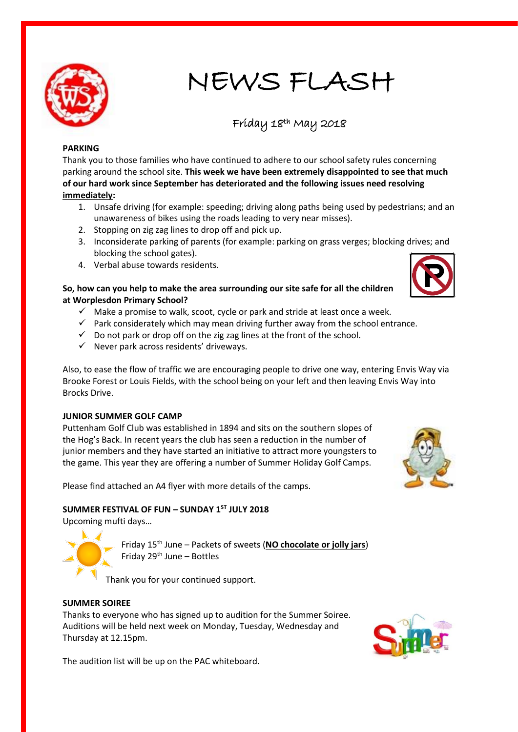

# NEWS FLASH

# Friday 18th May 2018

# **PARKING**

Thank you to those families who have continued to adhere to our school safety rules concerning parking around the school site. **This week we have been extremely disappointed to see that much of our hard work since September has deteriorated and the following issues need resolving immediately:**

- 1. Unsafe driving (for example: speeding; driving along paths being used by pedestrians; and an unawareness of bikes using the roads leading to very near misses).
- 2. Stopping on zig zag lines to drop off and pick up.
- 3. Inconsiderate parking of parents (for example: parking on grass verges; blocking drives; and blocking the school gates).
- 4. Verbal abuse towards residents.

# **So, how can you help to make the area surrounding our site safe for all the children at Worplesdon Primary School?**

- $\checkmark$  Make a promise to walk, scoot, cycle or park and stride at least once a week.
- $\checkmark$  Park considerately which may mean driving further away from the school entrance.
- $\checkmark$  Do not park or drop off on the zig zag lines at the front of the school.
- $\checkmark$  Never park across residents' driveways.

Also, to ease the flow of traffic we are encouraging people to drive one way, entering Envis Way via Brooke Forest or Louis Fields, with the school being on your left and then leaving Envis Way into Brocks Drive.

#### **JUNIOR SUMMER GOLF CAMP**

Puttenham Golf Club was established in 1894 and sits on the southern slopes of the Hog's Back. In recent years the club has seen a reduction in the number of junior members and they have started an initiative to attract more youngsters to the game. This year they are offering a number of Summer Holiday Golf Camps.

Please find attached an A4 flyer with more details of the camps.

# **SUMMER FESTIVAL OF FUN – SUNDAY 1ST JULY 2018**

Upcoming mufti days…

Friday 15th June – Packets of sweets (**NO chocolate or jolly jars**) Friday  $29<sup>th</sup>$  June – Bottles

Thank you for your continued support.

#### **SUMMER SOIREE**

Thanks to everyone who has signed up to audition for the Summer Soiree. Auditions will be held next week on Monday, Tuesday, Wednesday and Thursday at 12.15pm.



The audition list will be up on the PAC whiteboard.